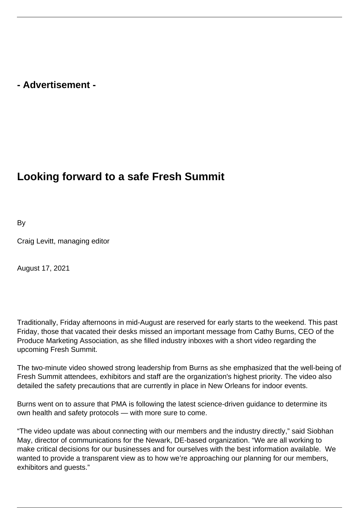## **- Advertisement -**

## **Looking forward to a safe Fresh Summit**

By

Craig Levitt, managing editor

August 17, 2021

Traditionally, Friday afternoons in mid-August are reserved for early starts to the weekend. This past Friday, those that vacated their desks missed an important message from Cathy Burns, CEO of the Produce Marketing Association, as she filled industry inboxes with a short video regarding the upcoming Fresh Summit.

The two-minute video showed strong leadership from Burns as she emphasized that the well-being of Fresh Summit attendees, exhibitors and staff are the organization's highest priority. The video also detailed the safety precautions that are currently in place in New Orleans for indoor events.

Burns went on to assure that PMA is following the latest science-driven guidance to determine its own health and safety protocols — with more sure to come.

"The video update was about connecting with our members and the industry directly," said Siobhan May, director of communications for the Newark, DE-based organization. "We are all working to make critical decisions for our businesses and for ourselves with the best information available. We wanted to provide a transparent view as to how we're approaching our planning for our members, exhibitors and guests."